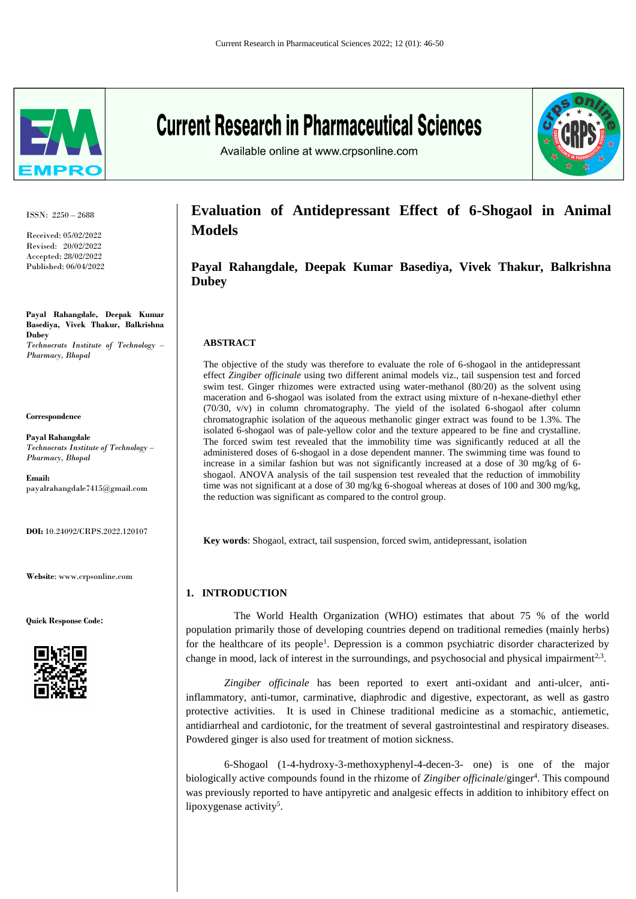

ISSN: 2250 – 2688

Received: 05/02/2022 Revised: 20/02/2022 Accepted: 28/02/2022 Published: 06/04/2022

**Payal Rahangdale, Deepak Kumar Basediya, Vivek Thakur, Balkrishna Dubey** *Technocrats Institute of Technology – Pharmacy, Bhopal*

**Correspondence**

**Payal Rahangdale** *Technocrats Institute of Technology – Pharmacy, Bhopal*

**Email:**  [payalrahangdale7415@gmail.com](mailto:payalrahangdale7415@gmail.com)

**DOI:** 10.24092/CRPS.2022.120107

**Website**: www.crpsonline.com

**Quick Response Code:**



# **Current Research in Pharmaceutical Sciences**

Available online at www.crpsonline.com



# **Evaluation of Antidepressant Effect of 6-Shogaol in Animal Models**

**Payal Rahangdale, Deepak Kumar Basediya, Vivek Thakur, Balkrishna Dubey**

# **ABSTRACT**

The objective of the study was therefore to evaluate the role of 6-shogaol in the antidepressant effect *Zingiber officinale* using two different animal models viz., tail suspension test and forced swim test. Ginger rhizomes were extracted using water-methanol (80/20) as the solvent using maceration and 6-shogaol was isolated from the extract using mixture of n-hexane-diethyl ether (70/30, v/v) in column chromatography. The yield of the isolated 6-shogaol after column chromatographic isolation of the aqueous methanolic ginger extract was found to be 1.3%. The isolated 6-shogaol was of pale-yellow color and the texture appeared to be fine and crystalline. The forced swim test revealed that the immobility time was significantly reduced at all the administered doses of 6-shogaol in a dose dependent manner. The swimming time was found to increase in a similar fashion but was not significantly increased at a dose of 30 mg/kg of 6 shogaol. ANOVA analysis of the tail suspension test revealed that the reduction of immobility time was not significant at a dose of 30 mg/kg 6-shogoal whereas at doses of 100 and 300 mg/kg, the reduction was significant as compared to the control group.

**Key words**: Shogaol, extract, tail suspension, forced swim, antidepressant, isolation

# **1. INTRODUCTION**

 The World Health Organization (WHO) estimates that about 75 % of the world population primarily those of developing countries depend on traditional remedies (mainly herbs) for the healthcare of its people<sup>1</sup>. Depression is a common psychiatric disorder characterized by change in mood, lack of interest in the surroundings, and psychosocial and physical impairment<sup>2,3</sup>.

*Zingiber officinale* has been reported to exert anti-oxidant and anti-ulcer, antiinflammatory, anti-tumor, carminative, diaphrodic and digestive, expectorant, as well as gastro protective activities. It is used in Chinese traditional medicine as a stomachic, antiemetic, antidiarrheal and cardiotonic, for the treatment of several gastrointestinal and respiratory diseases. Powdered ginger is also used for treatment of motion sickness.

6-Shogaol (1-4-hydroxy-3-methoxyphenyl-4-decen-3- one) is one of the major biologically active compounds found in the rhizome of Zingiber officinale/ginger<sup>4</sup>. This compound was previously reported to have antipyretic and analgesic effects in addition to inhibitory effect on lipoxygenase activity<sup>5</sup>.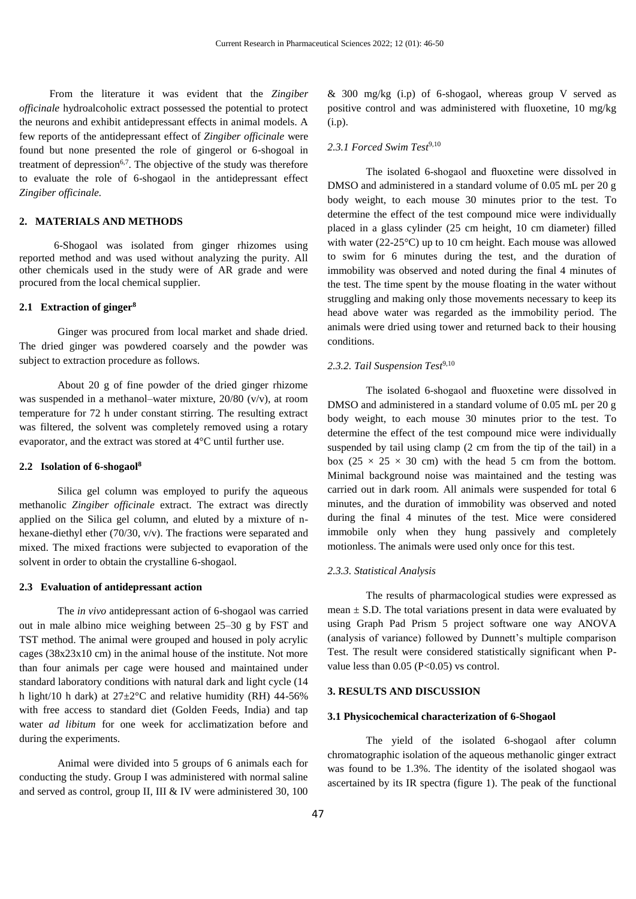From the literature it was evident that the *Zingiber officinale* hydroalcoholic extract possessed the potential to protect the neurons and exhibit antidepressant effects in animal models. A few reports of the antidepressant effect of *Zingiber officinale* were found but none presented the role of gingerol or 6-shogoal in treatment of depression<sup> $6,7$ </sup>. The objective of the study was therefore to evaluate the role of 6-shogaol in the antidepressant effect *Zingiber officinale.*

#### **2. MATERIALS AND METHODS**

 6-Shogaol was isolated from ginger rhizomes using reported method and was used without analyzing the purity. All other chemicals used in the study were of AR grade and were procured from the local chemical supplier.

#### **2.1 Extraction of ginger<sup>8</sup>**

Ginger was procured from local market and shade dried. The dried ginger was powdered coarsely and the powder was subject to extraction procedure as follows.

About 20 g of fine powder of the dried ginger rhizome was suspended in a methanol–water mixture, 20/80 (v/v), at room temperature for 72 h under constant stirring. The resulting extract was filtered, the solvent was completely removed using a rotary evaporator, and the extract was stored at 4°C until further use.

#### **2.2 Isolation of 6-shogaol<sup>8</sup>**

Silica gel column was employed to purify the aqueous methanolic *Zingiber officinale* extract. The extract was directly applied on the Silica gel column, and eluted by a mixture of nhexane-diethyl ether (70/30, v/v). The fractions were separated and mixed. The mixed fractions were subjected to evaporation of the solvent in order to obtain the crystalline 6-shogaol.

#### **2.3 Evaluation of antidepressant action**

The *in vivo* antidepressant action of 6-shogaol was carried out in male albino mice weighing between 25–30 g by FST and TST method. The animal were grouped and housed in poly acrylic cages (38x23x10 cm) in the animal house of the institute. Not more than four animals per cage were housed and maintained under standard laboratory conditions with natural dark and light cycle (14 h light/10 h dark) at  $27 \pm 2^{\circ}$ C and relative humidity (RH) 44-56% with free access to standard diet (Golden Feeds, India) and tap water *ad libitum* for one week for acclimatization before and during the experiments.

Animal were divided into 5 groups of 6 animals each for conducting the study. Group I was administered with normal saline and served as control, group II, III & IV were administered 30, 100

& 300 mg/kg (i.p) of 6-shogaol, whereas group V served as positive control and was administered with fluoxetine, 10 mg/kg (i.p).

### 2.3.1 Forced Swim Test<sup>9,10</sup>

The isolated 6-shogaol and fluoxetine were dissolved in DMSO and administered in a standard volume of 0.05 mL per 20 g body weight, to each mouse 30 minutes prior to the test. To determine the effect of the test compound mice were individually placed in a glass cylinder (25 cm height, 10 cm diameter) filled with water (22-25<sup>o</sup>C) up to 10 cm height. Each mouse was allowed to swim for 6 minutes during the test, and the duration of immobility was observed and noted during the final 4 minutes of the test. The time spent by the mouse floating in the water without struggling and making only those movements necessary to keep its head above water was regarded as the immobility period. The animals were dried using tower and returned back to their housing conditions.

#### 2.3.2. Tail Suspension Test<sup>9,10</sup>

The isolated 6-shogaol and fluoxetine were dissolved in DMSO and administered in a standard volume of 0.05 mL per 20 g body weight, to each mouse 30 minutes prior to the test. To determine the effect of the test compound mice were individually suspended by tail using clamp (2 cm from the tip of the tail) in a box (25  $\times$  25  $\times$  30 cm) with the head 5 cm from the bottom. Minimal background noise was maintained and the testing was carried out in dark room. All animals were suspended for total 6 minutes, and the duration of immobility was observed and noted during the final 4 minutes of the test. Mice were considered immobile only when they hung passively and completely motionless. The animals were used only once for this test.

#### *2.3.3. Statistical Analysis*

The results of pharmacological studies were expressed as mean  $\pm$  S.D. The total variations present in data were evaluated by using Graph Pad Prism 5 project software one way ANOVA (analysis of variance) followed by Dunnett's multiple comparison Test. The result were considered statistically significant when Pvalue less than  $0.05$  (P<0.05) vs control.

#### **3. RESULTS AND DISCUSSION**

#### **3.1 Physicochemical characterization of 6-Shogaol**

The yield of the isolated 6-shogaol after column chromatographic isolation of the aqueous methanolic ginger extract was found to be 1.3%. The identity of the isolated shogaol was ascertained by its IR spectra (figure 1). The peak of the functional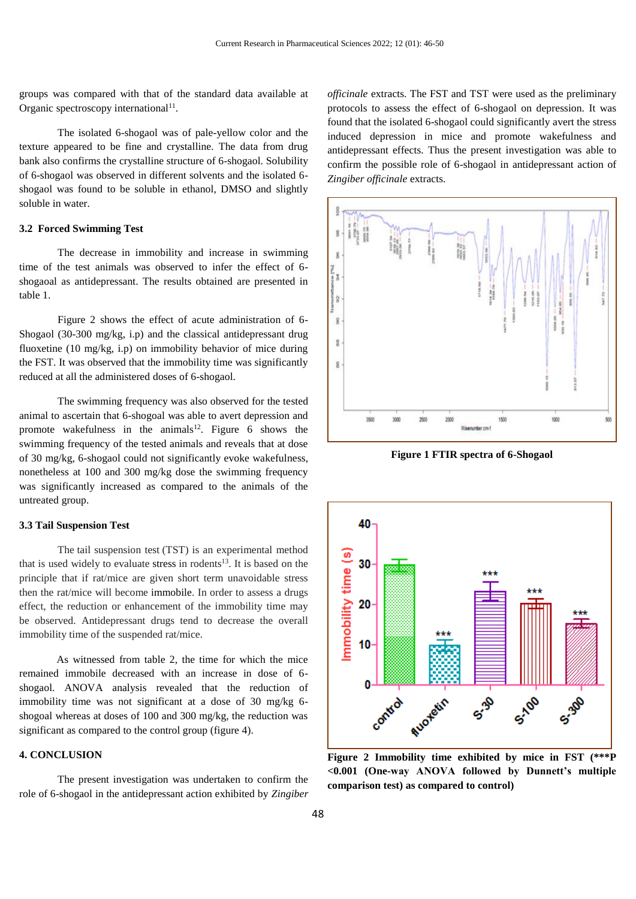groups was compared with that of the standard data available at Organic spectroscopy international<sup>11</sup>.

The isolated 6-shogaol was of pale-yellow color and the texture appeared to be fine and crystalline. The data from drug bank also confirms the crystalline structure of 6-shogaol. Solubility of 6-shogaol was observed in different solvents and the isolated 6 shogaol was found to be soluble in ethanol, DMSO and slightly soluble in water.

# **3.2 Forced Swimming Test**

The decrease in immobility and increase in swimming time of the test animals was observed to infer the effect of 6 shogaoal as antidepressant. The results obtained are presented in table 1.

Figure 2 shows the effect of acute administration of 6- Shogaol (30-300 mg/kg, i.p) and the classical antidepressant drug fluoxetine (10 mg/kg, i.p) on immobility behavior of mice during the FST. It was observed that the immobility time was significantly reduced at all the administered doses of 6-shogaol.

The swimming frequency was also observed for the tested animal to ascertain that 6-shogoal was able to avert depression and promote wakefulness in the animals<sup>12</sup>. Figure 6 shows the swimming frequency of the tested animals and reveals that at dose of 30 mg/kg, 6-shogaol could not significantly evoke wakefulness, nonetheless at 100 and 300 mg/kg dose the swimming frequency was significantly increased as compared to the animals of the untreated group.

#### **3.3 Tail Suspension Test**

The tail suspension test (TST) is an experimental method that is used widely to evaluate stress in rodents $^{13}$ . It is based on the principle that if rat/mice are given short term unavoidable stress then the rat/mice will become immobile. In order to assess a drugs effect, the reduction or enhancement of the immobility time may be observed. Antidepressant drugs tend to decrease the overall immobility time of the suspended rat/mice.

 As witnessed from table 2, the time for which the mice remained immobile decreased with an increase in dose of 6 shogaol. ANOVA analysis revealed that the reduction of immobility time was not significant at a dose of 30 mg/kg 6 shogoal whereas at doses of 100 and 300 mg/kg, the reduction was significant as compared to the control group (figure 4).

# **4. CONCLUSION**

The present investigation was undertaken to confirm the role of 6-shogaol in the antidepressant action exhibited by *Zingiber*  *officinale* extracts. The FST and TST were used as the preliminary protocols to assess the effect of 6-shogaol on depression. It was found that the isolated 6-shogaol could significantly avert the stress induced depression in mice and promote wakefulness and antidepressant effects. Thus the present investigation was able to confirm the possible role of 6-shogaol in antidepressant action of *Zingiber officinale* extracts.



**Figure 1 FTIR spectra of 6-Shogaol**



**Figure 2 Immobility time exhibited by mice in FST (\*\*\*P <0.001 (One-way ANOVA followed by Dunnett's multiple comparison test) as compared to control)**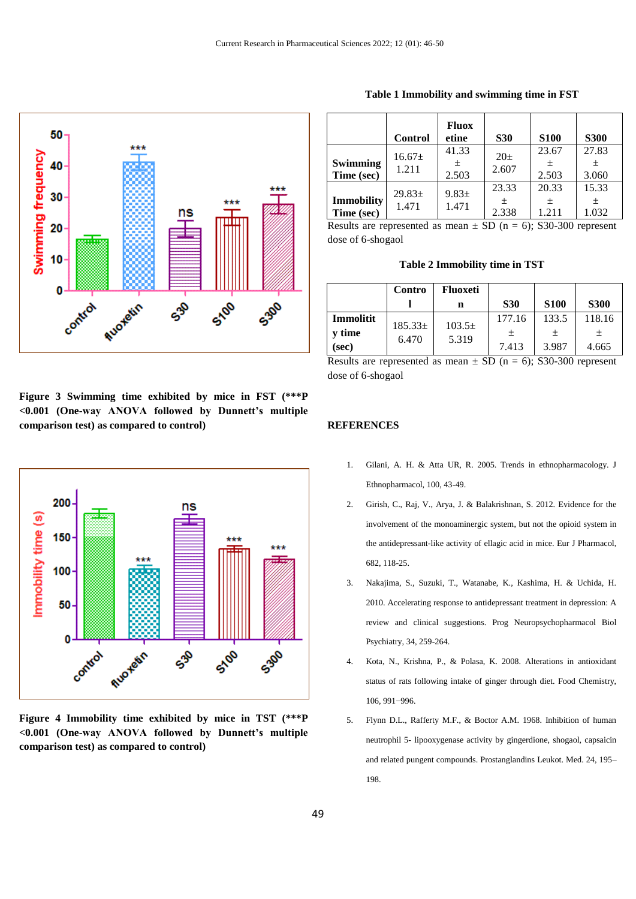

**Figure 3 Swimming time exhibited by mice in FST (\*\*\*P <0.001 (One-way ANOVA followed by Dunnett's multiple comparison test) as compared to control)**



**Figure 4 Immobility time exhibited by mice in TST (\*\*\*P <0.001 (One-way ANOVA followed by Dunnett's multiple comparison test) as compared to control)**

| Table 1 Immobility and swimming time in FST |  |  |  |  |  |
|---------------------------------------------|--|--|--|--|--|
|---------------------------------------------|--|--|--|--|--|

|                                 | <b>Control</b>       | <b>Fluox</b><br>etine | <b>S30</b>              | <b>S100</b>         | <b>S300</b>         |
|---------------------------------|----------------------|-----------------------|-------------------------|---------------------|---------------------|
| <b>Swimming</b><br>Time (sec)   | $16.67 \pm$<br>1.211 | 41.33<br>土<br>2.503   | $20\pm$<br>2.607        | 23.67<br>土<br>2.503 | 27.83<br>土<br>3.060 |
| <b>Immobility</b><br>Time (sec) | $29.83 \pm$<br>1.471 | $9.83 \pm$<br>1.471   | 23.33<br>$\pm$<br>2.338 | 20.33<br>土<br>1.211 | 15.33<br>土<br>1.032 |

Results are represented as mean  $\pm$  SD (n = 6); S30-300 represent dose of 6-shogaol

|               | Contro               | <b>Fluoxeti</b>             |            |             |             |
|---------------|----------------------|-----------------------------|------------|-------------|-------------|
|               |                      | n                           | <b>S30</b> | <b>S100</b> | <b>S300</b> |
| Immolitit     | $185.33\pm$<br>6.470 | 103.5 <sub>±</sub><br>5.319 | 177.16     | 133.5       | 118.16      |
| <b>v</b> time |                      |                             |            | 土           | 土           |
| (sec)         |                      |                             | 7.413      | 3.987       | 4.665       |

Results are represented as mean  $\pm$  SD (n = 6); S30-300 represent dose of 6-shogaol

# **REFERENCES**

- 1. Gilani, A. H. & Atta UR, R. 2005. Trends in ethnopharmacology. J Ethnopharmacol, 100, 43-49.
- 2. Girish, C., Raj, V., Arya, J. & Balakrishnan, S. 2012. Evidence for the involvement of the monoaminergic system, but not the opioid system in the antidepressant-like activity of ellagic acid in mice. Eur J Pharmacol, 682, 118-25.
- 3. Nakajima, S., Suzuki, T., Watanabe, K., Kashima, H. & Uchida, H. 2010. Accelerating response to antidepressant treatment in depression: A review and clinical suggestions. Prog Neuropsychopharmacol Biol Psychiatry, 34, 259-264.
- 4. Kota, N., Krishna, P., & Polasa, K. 2008. Alterations in antioxidant status of rats following intake of ginger through diet. Food Chemistry, 106, 991−996.
- 5. Flynn D.L., Rafferty M.F., & Boctor A.M. 1968. Inhibition of human neutrophil 5- lipooxygenase activity by gingerdione, shogaol, capsaicin and related pungent compounds. Prostanglandins Leukot. Med. 24, 195– 198.